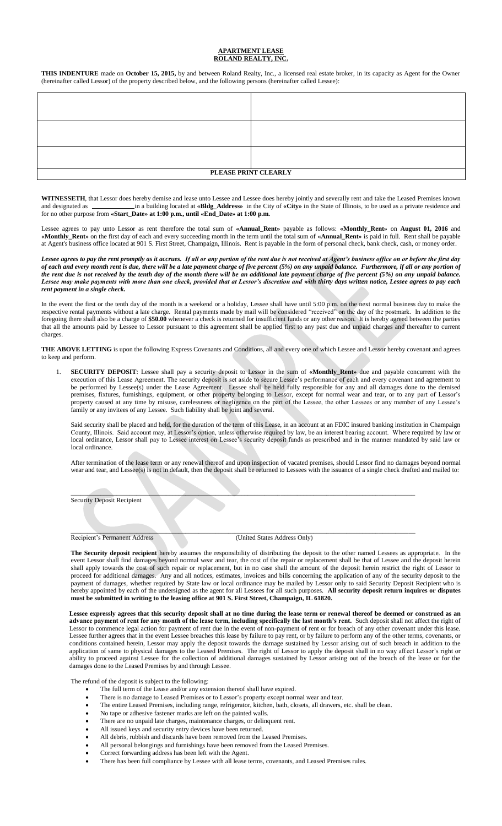## **APARTMENT LEASE ROLAND REALTY, INC.**

**THIS INDENTURE** made on **October 15, 2015,** by and between Roland Realty, Inc., a licensed real estate broker, in its capacity as Agent for the Owner (hereinafter called Lessor) of the property described below, and the following persons (hereinafter called Lessee):

| PLEASE PRINT CLEARLY |  |  |
|----------------------|--|--|
|                      |  |  |

**WITNESSETH**, that Lessor does hereby demise and lease unto Lessee and Lessee does hereby jointly and severally rent and take the Leased Premises known and designated as **in a building located at <b>«Bldg\_Address**» in the City of **«City»** in the State of Illinois, to be used as a private residence and for no other purpose from **«Start\_Date» at 1:00 p.m., until «End\_Date» at 1:00 p.m.**

Lessee agrees to pay unto Lessor as rent therefore the total sum of **«Annual\_Rent»** payable as follows: **«Monthly\_Rent»** on **August 01, 2016** and **«Monthly\_Rent»** on the first day of each and every succeeding month in the term until the total sum of **«Annual\_Rent»** is paid in full. Rent shall be payable at Agent's business office located at 901 S. First Street, Champaign, Illinois. Rent is payable in the form of personal check, bank check, cash, or money order.

Lessee agrees to pay the rent promptly as it accrues. If all or any portion of the rent due is not received at Agent's business office on or before the first day *of each and every month rent is due, there will be a late payment charge of five percent (5%) on any unpaid balance. Furthermore, if all or any portion of the rent due is not received by the tenth day of the month there will be an additional late payment charge of five percent (5%) on any unpaid balance. Lessee may make payments with more than one check, provided that at Lessor's discretion and with thirty days written notice, Lessee agrees to pay each rent payment in a single check.*

In the event the first or the tenth day of the month is a weekend or a holiday, Lessee shall have until 5:00 p.m. on the next normal business day to make the respective rental payments without a late charge. Rental payments made by mail will be considered "received" on the day of the postmark. In addition to the foregoing there shall also be a charge of **\$50.00** whenever a check is returned for insufficient funds or any other reason. It is hereby agreed between the parties that all the amounts paid by Lessee to Lessor pursuant to this agreement shall be applied first to any past due and unpaid charges and thereafter to current charges.

**THE ABOVE LETTING** is upon the following Express Covenants and Conditions, all and every one of which Lessee and Lessor hereby covenant and agrees to keep and perform.

1. **SECURITY DEPOSIT**: Lessee shall pay a security deposit to Lessor in the sum of **«Monthly\_Rent»** due and payable concurrent with the execution of this Lease Agreement. The security deposit is set aside to secure Lessee's performance of each and every covenant and agreement to be performed by Lessee(s) under the Lease Agreement. Lessee shall be held fully responsible for any and all damages done to the demised premises, fixtures, furnishings, equipment, or other property belonging to Lessor, except for normal wear and tear, or to any part of Lessor's property caused at any time by misuse, carelessness or negligence on the part of the Lessee, the other Lessees or any member of any Lessee's family or any invitees of any Lessee. Such liability shall be joint and several.

Said security shall be placed and held, for the duration of the term of this Lease, in an account at an FDIC insured banking institution in Champaign County, Illinois. Said account may, at Lessor's option, unless otherwise required by law, be an interest bearing account. Where required by law or local ordinance, Lessor shall pay to Lessee interest on Lessee's security deposit funds as prescribed and in the manner mandated by said law or local ordinance.

After termination of the lease term or any renewal thereof and upon inspection of vacated premises, should Lessor find no damages beyond normal wear and tear, and Lessee(s) is not in default, then the deposit shall be returned to Lessees with the issuance of a single check drafted and mailed to:

\_\_\_\_\_\_\_\_\_\_\_\_\_\_\_\_\_\_\_\_\_\_\_\_\_\_\_\_\_\_\_\_\_\_\_\_\_\_\_\_\_\_\_\_\_\_\_\_\_\_\_\_\_\_\_\_\_\_\_\_\_\_\_\_\_\_\_\_\_\_\_\_\_\_\_\_\_\_\_\_\_\_\_\_\_\_\_\_\_\_\_\_\_\_\_\_\_\_\_\_\_\_\_\_\_

Security Deposit Recipient

Recipient's Permanent Address (United States Address Only)

\_\_\_\_\_\_\_\_\_\_\_\_\_\_\_\_\_\_\_\_\_\_\_\_\_\_\_\_\_\_\_\_\_\_\_\_\_\_\_\_\_\_\_\_\_\_\_\_\_\_\_\_\_\_\_\_\_\_\_\_\_\_\_\_\_\_\_\_\_\_\_\_\_\_\_\_\_\_\_\_\_\_\_\_\_\_\_\_\_\_\_\_\_\_\_\_\_\_\_\_\_\_\_\_\_

**The Security deposit recipient** hereby assumes the responsibility of distributing the deposit to the other named Lessees as appropriate. In the event Lessor shall find damages beyond normal wear and tear, the cost of the repair or replacement shall be that of Lessee and the deposit herein shall apply towards the cost of such repair or replacement, but in no case shall the amount of the deposit herein restrict the right of Lessor to proceed for additional damages. Any and all notices, estimates, invoices and bills concerning the application of any of the security deposit to the payment of damages, whether required by State law or local ordinance may be mailed by Lessor only to said Security Deposit Recipient who is hereby appointed by each of the undersigned as the agent for all Lessees for all such purposes. **All security deposit return inquires or disputes must be submitted in writing to the leasing office at 901 S. First Street, Champaign, IL 61820.**

**Lessee expressly agrees that this security deposit shall at no time during the lease term or renewal thereof be deemed or construed as an advance payment of rent for any month of the lease term, including specifically the last month's rent.** Such deposit shall not affect the right of Lessor to commence legal action for payment of rent due in the event of non-payment of rent or for breach of any other covenant under this lease. Lessee further agrees that in the event Lessee breaches this lease by failure to pay rent, or by failure to perform any of the other terms, covenants, or conditions contained herein, Lessor may apply the deposit towards the damage sustained by Lessor arising out of such breach in addition to the application of same to physical damages to the Leased Premises. The right of Lessor to apply the deposit shall in no way affect Lessor's right or ability to proceed against Lessee for the collection of additional damages sustained by Lessor arising out of the breach of the lease or for the damages done to the Leased Premises by and through Lessee.

The refund of the deposit is subject to the following:

- The full term of the Lease and/or any extension thereof shall have expired.
- There is no damage to Leased Premises or to Lessor's property except normal wear and tear.
- The entire Leased Premises, including range, refrigerator, kitchen, bath, closets, all drawers, etc. shall be clean.
- No tape or adhesive fastener marks are left on the painted walls.
- There are no unpaid late charges, maintenance charges, or delinquent rent.
- All issued keys and security entry devices have been returned.
- All debris, rubbish and discards have been removed from the Leased Premises.
- All personal belongings and furnishings have been removed from the Leased Premises. Correct forwarding address has been left with the Agent.
- 
- There has been full compliance by Lessee with all lease terms, covenants, and Leased Premises rules.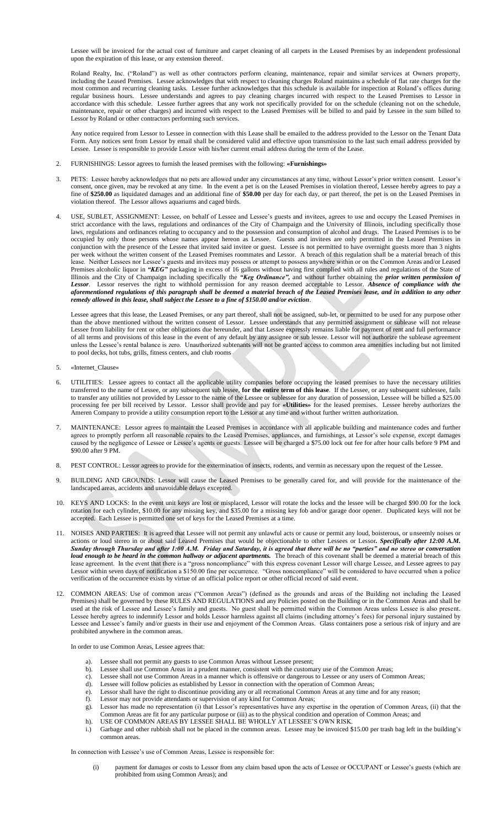Lessee will be invoiced for the actual cost of furniture and carpet cleaning of all carpets in the Leased Premises by an independent professional upon the expiration of this lease, or any extension thereof.

Roland Realty, Inc. ("Roland") as well as other contractors perform cleaning, maintenance, repair and similar services at Owners property, including the Leased Premises. Lessee acknowledges that with respect to cleaning charges Roland maintains a schedule of flat rate charges for the most common and recurring cleaning tasks. Lessee further acknowledges that this schedule is available for inspection at Roland's offices during regular business hours. Lessee understands and agrees to pay cleaning charges incurred with respect to the Leased Premises to Lessor in accordance with this schedule. Lessee further agrees that any work not specifically provided for on the schedule (cleaning not on the schedule, maintenance, repair or other charges) and incurred with respect to the Leased Premises will be billed to and paid by Lessee in the sum billed to Lessor by Roland or other contractors performing such services.

Any notice required from Lessor to Lessee in connection with this Lease shall be emailed to the address provided to the Lessor on the Tenant Data Form. Any notices sent from Lessor by email shall be considered valid and effective upon transmission to the last such email address provided by Lessee. Lessee is responsible to provide Lessor with his/her current email address during the term of the Lease.

- 2. FURNISHINGS: Lessor agrees to furnish the leased premises with the following: **«Furnishings»**
- 3. PETS: Lessee hereby acknowledges that no pets are allowed under any circumstances at any time, without Lessor's prior written consent. Lessor's consent, once given, may be revoked at any time. In the event a pet is on the Leased Premises in violation thereof, Lessee hereby agrees to pay a fine of **\$250.00** as liquidated damages and an additional fine of **\$50.00** per day for each day, or part thereof, the pet is on the Leased Premises in violation thereof. The Lessor allows aquariums and caged birds.
- USE, SUBLET, ASSIGNMENT: Lessee, on behalf of Lessee and Lessee's guests and invitees, agrees to use and occupy the Leased Premises in strict accordance with the laws, regulations and ordinances of the City of Champaign and the University of Illinois, including specifically those laws, regulations and ordinances relating to occupancy and to the possession and consumption of alcohol and drugs. The Leased Premises is to be occupied by only those persons whose names appear hereon as Lessee. Guests and invitees are only permitted in the Leased Premises in conjunction with the presence of the Lessee that invited said invitee or guest. Lessee is not permitted to have overnight guests more than 3 nights per week without the written consent of the Leased Premises roommates and Lessor. A breach of this regulation shall be a material breach of this lease. Neither Lessees nor Lessee's guests and invitees may possess or attempt to possess anywhere within or on the Common Areas and/or Leased Premises alcoholic liquor in *"KEG"* packaging in excess of 16 gallons without having first complied with all rules and regulations of the State of Illinois and the City of Champaign including specifically the *"Keg Ordinance",* and without further obtaining the *prior written permission of Lessor*. Lessor reserves the right to withhold permission for any reason deemed acceptable to Lessor. *Absence of compliance with the aforementioned regulations of this paragraph shall be deemed a material breach of the Leased Premises lease, and in addition to any other remedy allowed in this lease, shall subject the Lessee to a fine of \$150.00 and/or eviction*.

Lessee agrees that this lease, the Leased Premises, or any part thereof, shall not be assigned, sub-let, or permitted to be used for any purpose other than the above mentioned without the written consent of Lessor. Lessee understands that any permitted assignment or sublease will not release Lessee from liability for rent or other obligations due hereunder, and that Lessee expressly remains liable for payment of rent and full performance of all terms and provisions of this lease in the event of any default by any assignee or sub lessee. Lessor will not authorize the sublease agreement unless the Lessee's rental balance is zero. Unauthorized subtenants will not be granted access to common area amenities including but not limited to pool decks, hot tubs, grills, fitness centers, and club rooms

- 5. «Internet\_Clause»
- UTILITIES: Lessee agrees to contact all the applicable utility companies before occupying the leased premises to have the necessary utilities transferred to the name of Lessee, or any subsequent sub lessee, **for the entire term of this lease**. If the Lessee, or any subsequent sublessee, fails to transfer any utilities not provided by Lessor to the name of the Lessee or sublessee for any duration of possession, Lessee will be billed a \$25.00 processing fee per bill received by Lessor. Lessor shall provide and pay for **«Utilities»** for the leased premises. Lessee hereby authorizes the Ameren Company to provide a utility consumption report to the Lessor at any time and without further written authorization.
- 7. MAINTENANCE: Lessor agrees to maintain the Leased Premises in accordance with all applicable building and maintenance codes and further agrees to promptly perform all reasonable repairs to the Leased Premises, appliances, and furnishings, at Lessor's sole expense, except damages caused by the negligence of Lessee or Lessee's agents or guests. Lessee will be charged a \$75.00 lock out fee for after hour calls before 9 PM and \$90.00 after 9 PM.
- 8. PEST CONTROL: Lessor agrees to provide for the extermination of insects, rodents, and vermin as necessary upon the request of the Lessee.
- 9. BUILDING AND GROUNDS: Lessor will cause the Leased Premises to be generally cared for, and will provide for the maintenance of the landscaped areas, accidents and unavoidable delays excepted.
- 10. KEYS AND LOCKS: In the event unit keys are lost or misplaced, Lessor will rotate the locks and the lessee will be charged \$90.00 for the lock rotation for each cylinder, \$10.00 for any missing key, and \$35.00 for a missing key fob and/or garage door opener. Duplicated keys will not be accepted. Each Lessee is permitted one set of keys for the Leased Premises at a time.
- 11. NOISES AND PARTIES: It is agreed that Lessee will not permit any unlawful acts or cause or permit any loud, boisterous, or unseemly noises or actions or loud stereo in or about said Leased Premises that would be objectionable to other Lessees or Lessor*. Specifically after 12:00 A.M. Sunday through Thursday and after 1:00 A.M. Friday and Saturday, it is agreed that there will be no "parties" and no stereo or conversation loud enough to be heard in the common hallway or adjacent apartments.* The breach of this covenant shall be deemed a material breach of this lease agreement. In the event that there is a "gross noncompliance" with this express covenant Lessor will charge Lessee, and Lessee agrees to pay Lessor within seven days of notification a \$150.00 fine per occurrence. "Gross noncompliance" will be considered to have occurred when a police verification of the occurrence exists by virtue of an official police report or other official record of said event.
- 12. COMMON AREAS: Use of common areas ("Common Areas") (defined as the grounds and areas of the Building not including the Leased Premises) shall be governed by these RULES AND REGULATIONS and any Policies posted on the Building or in the Common Areas and shall be used at the risk of Lessee and Lessee's family and guests. No guest shall be permitted within the Common Areas unless Lessee is also present. Lessee hereby agrees to indemnify Lessor and holds Lessor harmless against all claims (including attorney's fees) for personal injury sustained by Lessee and Lessee's family and/or guests in their use and enjoyment of the Common Areas. Glass containers pose a serious risk of injury and are prohibited anywhere in the common areas.

## In order to use Common Areas, Lessee agrees that:

- a). Lessee shall not permit any guests to use Common Areas without Lessee present;
- Lessee shall use Common Areas in a prudent manner, consistent with the customary use of the Common Areas;
- c). Lessee shall not use Common Areas in a manner which is offensive or dangerous to Lessee or any users of Common Areas;
- d). Lessee will follow policies as established by Lessor in connection with the operation of Common Areas;
- e). Lessor shall have the right to discontinue providing any or all recreational Common Areas at any time and for any reason;
- Lessor may not provide attendants or supervision of any kind for Common Areas;
- g). Lessor has made no representation (i) that Lessor's representatives have any expertise in the operation of Common Areas, (ii) that the Common Areas are fit for any particular purpose or (iii) as to the physical condition and operation of Common Areas; and
- h). USE OF COMMON AREAS BY LESSEE SHALL BE WHOLLY AT LESSEE'S OWN RISK.
- Garbage and other rubbish shall not be placed in the common areas. Lessee may be invoiced \$15.00 per trash bag left in the building's common areas.

In connection with Lessee's use of Common Areas, Lessee is responsible for:

(i) payment for damages or costs to Lessor from any claim based upon the acts of Lessee or OCCUPANT or Lessee's guests (which are prohibited from using Common Areas); and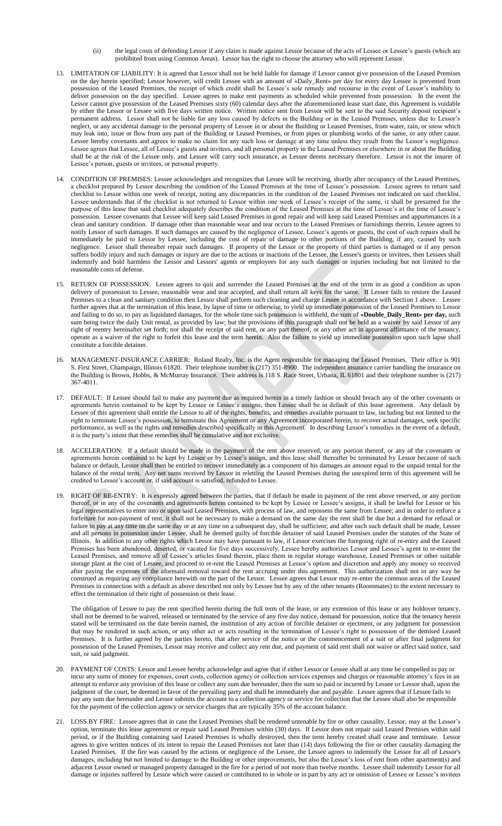- (ii) the legal costs of defending Lessor if any claim is made against Lessor because of the acts of Lessee or Lessee's guests (which are prohibited from using Common Areas). Lessor has the right to choose the attorney who will represent Lessor.
- 13. LIMITATION OF LIABILITY: It is agreed that Lessor shall not be held liable for damage if Lessor cannot give possession of the Leased Premises on the day herein specified; Lessor however, will credit Lessee with an amount of «Daily\_Rent» per day for every day Lessee is prevented from possession of the Leased Premises, the receipt of which credit shall be Lessee's sole remedy and recourse in the event of Lessor's inability to deliver possession on the day specified. Lessee agrees to make rent payments as scheduled while prevented from possession. In the event the Lessor cannot give possession of the Leased Premises sixty (60) calendar days after the aforementioned lease start date, this Agreement is voidable by either the Lessor or Lessee with five days written notice. Written notice sent from Lessor will be sent to the said Security deposit recipient's permanent address.Lessor shall not be liable for any loss caused by defects in the Building or in the Leased Premises, unless due to Lessor's neglect, or any accidental damage to the personal property of Lessee in or about the Building or Leased Premises, from water, rain, or snow which may leak into, issue or flow from any part of the Building or Leased Premises, or from pipes or plumbing works of the same, or any other cause. Lessee hereby covenants and agrees to make no claim for any such loss or damage at any time unless they result from the Lessor's negligence. Lessee agrees that Lessee, all of Lessee's guests and invitees, and all personal property in the Leased Premises or elsewhere in or about the Building shall be at the risk of the Lessee only, and Lessee will carry such insurance, as Lessee deems necessary therefore. Lessor is not the insurer of Lessee's person, guests or invitees, or personal property.
- 14. CONDITION OF PREMISES: Lessee acknowledges and recognizes that Lessee will be receiving, shortly after occupancy of the Leased Premises, a checklist prepared by Lessor describing the condition of the Leased Premises at the time of Lessee's possession. Lessee agrees to return said checklist to Lessor within one week of receipt, noting any discrepancies in the condition of the Leased Premises not indicated on said checklist. Lessee understands that if the checklist is not returned to Lessor within one week of Lessee's receipt of the same, it shall be presumed for the purpose of this lease that said checklist adequately describes the condition of the Leased Premises at the time of Lessee's at the time of Lessee's possession. Lessee covenants that Lessee will keep said Leased Premises in good repair and will keep said Leased Premises and appurtenances in a clean and sanitary condition. If damage other than reasonable wear and tear occurs to the Leased Premises or furnishings therein, Lessee agrees to notify Lessor of such damages. If such damages are caused by the negligence of Lessee, Lessee's agents or guests, the cost of such repairs shall be immediately be paid to Lessor by Lessee, including the cost of repair of damage to other portions of the Building, if any, caused by such negligence. Lessor shall thereafter repair such damages. If property of the Lessor or the property of third parties is damaged or if any person suffers bodily injury and such damages or injury are due to the actions or inactions of the Lessee, the Lessee's guests or invitees, then Lessees shall indemnify and hold harmless the Lessor and Lessors' agents or employees for any such damages or injuries including but not limited to the reasonable costs of defense.
- 15. RETURN OF POSSESSION: Lessee agrees to quit and surrender the Leased Premises at the end of the term in as good a condition as upon delivery of possession to Lessee, reasonable wear and tear accepted, and shall return all keys for the same. If Lessee fails to restore the Leased Premises to a clean and sanitary condition then Lessor shall perform such cleaning and charge Lessee in accordance with Section 1 above. Lessee further agrees that at the termination of this lease, by lapse of time or otherwise, to yield up immediate possession of the Leased Premises to Lessor and failing to do so, to pay as liquidated damages, for the whole time such possession is withheld, the sum of **«Double\_Daily\_Rent» per day,** such sum being twice the daily Unit rental, as provided by law; but the provisions of this paragraph shall not be held as a waiver by said Lessor of any right of reentry hereinafter set forth; nor shall the receipt of said rent, or any part thereof, or any other act in apparent affirmance of the tenancy, operate as a waiver of the right to forfeit this lease and the term herein. Also the failure to yield up immediate possession upon such lapse shall constitute a forcible detainer.
- 16. MANAGEMENT-INSURANCE CARRIER: Roland Realty, Inc. is the Agent responsible for managing the Leased Premises. Their office is 901 S. First Street, Champaign, Illinois 61820. Their telephone number is (217) 351-8900. The independent insurance carrier handling the insurance on the Building is Brown, Hobbs, & McMurray Insurance. Their address is 118 S. Race Street, Urbana, IL 61801 and their telephone number is (217) 367-4011.
- 17. DEFAULT: If Lessee should fail to make any payment due as required herein in a timely fashion or should breach any of the other covenants or agreements herein contained to be kept by Lessee or Lessee's assigns, then Lessee shall be in default of this lease agreement. Any default by Lessee of this agreement shall entitle the Lessor to all of the rights, benefits, and remedies available pursuant to law, including but not limited to the right to terminate Lessee's possession, to terminate this Agreement or any Agreement incorporated herein, to recover actual damages, seek specific performance, as well as the rights and remedies described specifically in this Agreement. In describing Lessor's remedies in the event of a default, it is the party's intent that these remedies shall be cumulative and not exclusive.
- 18. ACCELERATION: If a default should be made in the payment of the rent above reserved, or any portion thereof, or any of the covenants or agreements herein contained to be kept by Lessee or by Lessee's assign, and this lease shall thereafter be terminated by Lessor because of such balance or default, Lessor shall then be entitled to recover immediately as a component of his damages an amount equal to the unpaid rental for the balance of the rental term. Any net sums received by Lessor in reletting the Leased Premises during the unexpired term of this agreement will be credited to Lessee's account or, if said account is satisfied, refunded to Lessee.
- 19. RIGHT OF RE-ENTRY: It is expressly agreed between the parties, that if default be made in payment of the rent above reserved, or any portion thereof, or in any of the covenants and agreements herein contained to be kept by Lessee or Lessee's assigns, it shall be lawful for Lessor or his legal representatives to enter into or upon said Leased Premises, with process of law, and repossess the same from Lessee; and in order to enforce a forfeiture for non-payment of rent, it shall not be necessary to make a demand on the same day the rent shall be due but a demand for refusal or failure to pay at any time on the same day or at any time on a subsequent day, shall be sufficient; and after each such default shall be made, Lessee and all persons in possession under Lessee, shall be deemed guilty of forcible detainer of said Leased Premises under the statutes of the State of Illinois. In addition to any other rights which Lessor may have pursuant to law, if Lessor exercises the foregoing right of re-entry and the Leased Premises has been abandoned, deserted, or vacated for five days successively, Lessee hereby authorizes Lessor and Lessee's agent to re-enter the Leased Premises, and remove all of Lessee's articles found therein, place them in regular storage warehouse, Leased Premises or other suitable storage plant at the cost of Lessee, and proceed to re-rent the Leased Premises at Lessor's option and discretion and apply any money so received after paying the expenses of the aforesaid removal toward the rent accruing under this agreement. This authorization shall not in any way be construed as requiring any compliance herewith on the part of the Lessor. Lessee agrees that Lessor may re-enter the common areas of the Leased Premises in connection with a default as above described not only by Lessee but by any of the other tenants (Roommates) to the extent necessary to effect the termination of their right of possession or their lease.

The obligation of Lessee to pay the rent specified herein during the full term of the lease, or any extension of this lease or any holdover tenancy, shall not be deemed to be waived, released or terminated by the service of any five day notice, demand for possession, notice that the tenancy herein stated will be terminated on the date herein named, the institution of any action of forcible detainer or ejectment, or any judgment for possession that may be rendered in such action, or any other act or acts resulting in the termination of Lessee's right to possession of the demised Leased Premises. It is further agreed by the parties hereto, that after service of the notice or the commencement of a suit or after final judgment for possession of the Leased Premises, Lessor may receive and collect any rent due, and payment of said rent shall not waive or affect said notice, said suit, or said judgment.

- 20. PAYMENT OF COSTS: Lessor and Lessee hereby acknowledge and agree that if either Lessor or Lessee shall at any time be compelled to pay or incur any sums of money for expenses, court costs, collection agency or collection services expenses and charges or reasonable attorney's fees in an attempt to enforce any provision of this lease or collect any sum due hereunder, then the sum so paid or incurred by Lessee or Lessor shall, upon the judgment of the court, be deemed in favor of the prevailing party and shall be immediately due and payable. Lessee agrees that if Lessee fails to pay any sum due hereunder and Lessor submits the account to a collection agency or service for collection that the Lessee shall also be responsible for the payment of the collection agency or service charges that are typically 35% of the account balance.
- 21. LOSS BY FIRE: Lessee agrees that in case the Leased Premises shall be rendered untenable by fire or other causality, Lessor, may at the Lessor's option, terminate this lease agreement or repair said Leased Premises within (30) days. If Lessor does not repair said Leased Premises within said period, or if the Building containing said Leased Premises is wholly destroyed, then the term hereby created shall cease and terminate. Lessor agrees to give written notices of its intent to repair the Leased Premises not later than (14) days following the fire or other causality damaging the Leased Premises. If the fire was caused by the actions or negligence of the Lessee, the Lessee agrees to indemnify the Lessor for all of Lessor's damages, including but not limited to damage to the Building or other improvements, but also the Lessor's loss of rent from other apartment(s) and adjacent Lessor owned or managed property damaged in the fire for a period of not more than twelve months. Lessee shall indemnify Lessor for all damage or injuries suffered by Lessor which were caused or contributed to in whole or in part by any act or omission of Lessee or Lessee's invitees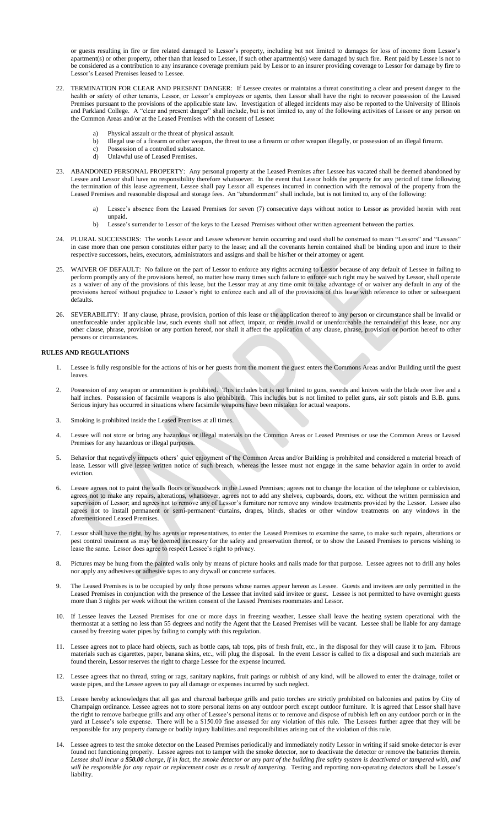or guests resulting in fire or fire related damaged to Lessor's property, including but not limited to damages for loss of income from Lessor's apartment(s) or other property, other than that leased to Lessee, if such other apartment(s) were damaged by such fire. Rent paid by Lessee is not to be considered as a contribution to any insurance coverage premium paid by Lessor to an insurer providing coverage to Lessor for damage by fire to Lessor's Leased Premises leased to Lessee.

- 22. TERMINATION FOR CLEAR AND PRESENT DANGER:If Lessee creates or maintains a threat constituting a clear and present danger to the health or safety of other tenants, Lessor, or Lessor's employees or agents, then Lessor shall have the right to recover possession of the Leased Premises pursuant to the provisions of the applicable state law. Investigation of alleged incidents may also be reported to the University of Illinois and Parkland College. A "clear and present danger" shall include, but is not limited to, any of the following activities of Lessee or any person on the Common Areas and/or at the Leased Premises with the consent of Lessee:
	- Physical assault or the threat of physical assault.
	- b) Illegal use of a firearm or other weapon, the threat to use a firearm or other weapon illegally, or possession of an illegal firearm.
	- c) Possession of a controlled substance.<br>
	d) Unlawful use of Leased Premises.
	- Unlawful use of Leased Premises
- 23. ABANDONED PERSONAL PROPERTY: Any personal property at the Leased Premises after Lessee has vacated shall be deemed abandoned by Lessee and Lessor shall have no responsibility therefore whatsoever. In the event that Lessor holds the property for any period of time following the termination of this lease agreement, Lessee shall pay Lessor all expenses incurred in connection with the removal of the property from the Leased Premises and reasonable disposal and storage fees. An "abandonment" shall include, but is not limited to, any of the following:
	- a) Lessee's absence from the Leased Premises for seven (7) consecutive days without notice to Lessor as provided herein with rent unpaid.
	- b) Lessee's surrender to Lessor of the keys to the Leased Premises without other written agreement between the parties.
- 24. PLURAL SUCCESSORS: The words Lessor and Lessee whenever herein occurring and used shall be construed to mean "Lessors" and "Lessees" in case more than one person constitutes either party to the lease; and all the covenants herein contained shall be binding upon and inure to their respective successors, heirs, executors, administrators and assigns and shall be his/her or their attorney or agent.
- 25. WAIVER OF DEFAULT: No failure on the part of Lessor to enforce any rights accruing to Lessor because of any default of Lessee in failing to perform promptly any of the provisions hereof, no matter how many times such failure to enforce such right may be waived by Lessor, shall operate as a waiver of any of the provisions of this lease, but the Lessor may at any time omit to take advantage of or waiver any default in any of the provisions hereof without prejudice to Lessor's right to enforce each and all of the provisions of this lease with reference to other or subsequent defaults.
- 26. SEVERABILITY: If any clause, phrase, provision, portion of this lease or the application thereof to any person or circumstance shall be invalid or unenforceable under applicable law, such events shall not affect, impair, or render invalid or unenforceable the remainder of this lease, nor any other clause, phrase, provision or any portion hereof, nor shall it affect the application of any clause, phrase, provision or portion hereof to other persons or circumstances.

## **RULES AND REGULATIONS**

- 1. Lessee is fully responsible for the actions of his or her guests from the moment the guest enters the Commons Areas and/or Building until the guest leaves.
- 2. Possession of any weapon or ammunition is prohibited. This includes but is not limited to guns, swords and knives with the blade over five and a half inches. Possession of facsimile weapons is also prohibited. This includes but is not limited to pellet guns, air soft pistols and B.B. guns. Serious injury has occurred in situations where facsimile weapons have been mistaken for actual weapons.
- 3. Smoking is prohibited inside the Leased Premises at all times.
- 4. Lessee will not store or bring any hazardous or illegal materials on the Common Areas or Leased Premises or use the Common Areas or Leased Premises for any hazardous or illegal purposes.
- 5. Behavior that negatively impacts others' quiet enjoyment of the Common Areas and/or Building is prohibited and considered a material breach of lease. Lessor will give lessee written notice of such breach, whereas the lessee must not engage in the same behavior again in order to avoid eviction.
- 6. Lessee agrees not to paint the walls floors or woodwork in the Leased Premises; agrees not to change the location of the telephone or cablevision, agrees not to make any repairs, alterations, whatsoever, agrees not to add any shelves, cupboards, doors, etc. without the written permission and supervision of Lessor; and agrees not to remove any of Lessor's furniture nor remove any window treatments provided by the Lessor. Lessee also agrees not to install permanent or semi-permanent curtains, drapes, blinds, shades or other window treatments on any windows in the aforementioned Leased Premises.
- 7. Lessor shall have the right, by his agents or representatives, to enter the Leased Premises to examine the same, to make such repairs, alterations or pest control treatment as may be deemed necessary for the safety and preservation thereof, or to show the Leased Premises to persons wishing to lease the same. Lessor does agree to respect Lessee's right to privacy.
- 8. Pictures may be hung from the painted walls only by means of picture hooks and nails made for that purpose. Lessee agrees not to drill any holes nor apply any adhesives or adhesive tapes to any drywall or concrete surfaces.
- 9. The Leased Premises is to be occupied by only those persons whose names appear hereon as Lessee. Guests and invitees are only permitted in the Leased Premises in conjunction with the presence of the Lessee that invited said invitee or guest. Lessee is not permitted to have overnight guests more than 3 nights per week without the written consent of the Leased Premises roommates and Lessor.
- 10. If Lessee leaves the Leased Premises for one or more days in freezing weather, Lessee shall leave the heating system operational with the thermostat at a setting no less than 55 degrees and notify the Agent that the Leased Premises will be vacant. Lessee shall be liable for any damage caused by freezing water pipes by failing to comply with this regulation.
- 11. Lessee agrees not to place hard objects, such as bottle caps, tab tops, pits of fresh fruit, etc., in the disposal for they will cause it to jam. Fibrous materials such as cigarettes, paper, banana skins, etc., will plug the disposal. In the event Lessor is called to fix a disposal and such materials are found therein, Lessor reserves the right to charge Lessee for the expense incurred.
- 12. Lessee agrees that no thread, string or rags, sanitary napkins, fruit parings or rubbish of any kind, will be allowed to enter the drainage, toilet or waste pipes, and the Lessee agrees to pay all damage or expenses incurred by such neglect.
- 13. Lessee hereby acknowledges that all gas and charcoal barbeque grills and patio torches are strictly prohibited on balconies and patios by City of Champaign ordinance. Lessee agrees not to store personal items on any outdoor porch except outdoor furniture. It is agreed that Lessor shall have the right to remove barbeque grills and any other of Lessee's personal items or to remove and dispose of rubbish left on any outdoor porch or in the yard at Lessee's sole expense. There will be a \$150.00 fine assessed for any violation of this rule. The Lessees further agree that they will be responsible for any property damage or bodily injury liabilities and responsibilities arising out of the violation of this rule.
- 14. Lessee agrees to test the smoke detector on the Leased Premises periodically and immediately notify Lessor in writing if said smoke detector is ever found not functioning properly. Lessee agrees not to tamper with the smoke detector, nor to deactivate the detector or remove the batteries therein. *Lessee shall incur a \$50.00 charge, if in fact, the smoke detector or any part of the building fire safety system is deactivated or tampered with, and will be responsible for any repair or replacement costs as a result of tampering.* Testing and reporting non-operating detectors shall be Lessee's liability.